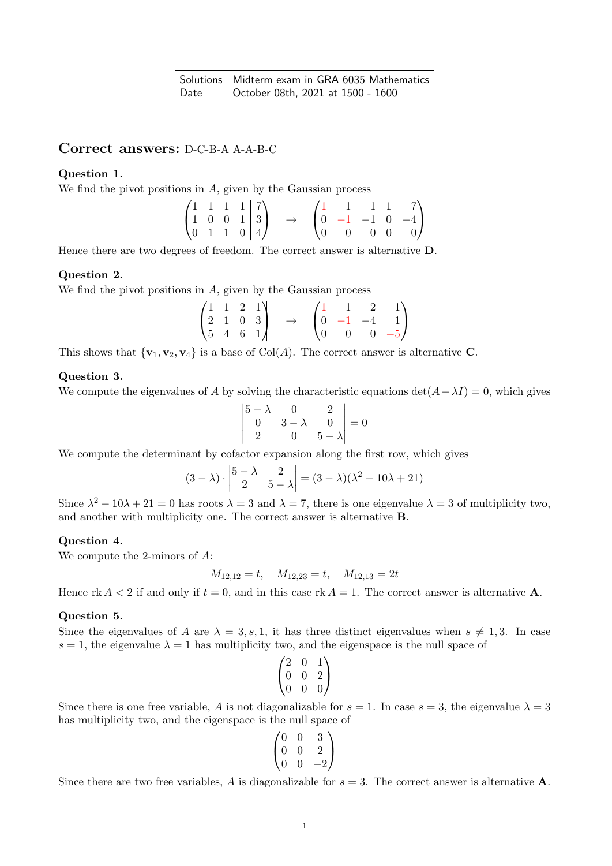# Correct answers: D-C-B-A A-A-B-C

## Question 1.

We find the pivot positions in  $A$ , given by the Gaussian process

|                                                                                             |  |  |               |  |  | $\begin{pmatrix} 1 & 1 & 1 & 1 & 7 \end{pmatrix}$                                  |  |
|---------------------------------------------------------------------------------------------|--|--|---------------|--|--|------------------------------------------------------------------------------------|--|
|                                                                                             |  |  | $\rightarrow$ |  |  | $\begin{bmatrix} 0 & -1 & -1 & 0 & -4 \end{bmatrix}$                               |  |
| $\begin{pmatrix} 1 & 1 & 1 & 1 & 7 \\ 1 & 0 & 0 & 1 & 3 \\ 0 & 1 & 1 & 0 & 4 \end{pmatrix}$ |  |  |               |  |  | $\begin{bmatrix} 0 & 0 & 0 & 0 \end{bmatrix} \begin{bmatrix} 0 \\ 0 \end{bmatrix}$ |  |

Hence there are two degrees of freedom. The correct answer is alternative D.

## Question 2.

We find the pivot positions in A, given by the Gaussian process

|                                                                                 |  |               |                    |                | $1 \quad 2 \quad 1 \backslash$                  |
|---------------------------------------------------------------------------------|--|---------------|--------------------|----------------|-------------------------------------------------|
|                                                                                 |  | $\rightarrow$ |                    |                | $\begin{bmatrix} 0 & -1 & -4 & 1 \end{bmatrix}$ |
| $\begin{pmatrix} 1 & 1 & 2 & 1 \\ 2 & 1 & 0 & 3 \\ 5 & 4 & 6 & 1 \end{pmatrix}$ |  |               | $\left( 0 \right)$ | $\overline{0}$ | $0 -5$                                          |

This shows that  $\{v_1, v_2, v_4\}$  is a base of Col(A). The correct answer is alternative C.

### Question 3.

We compute the eigenvalues of A by solving the characteristic equations  $\det(A-\lambda I)=0$ , which gives

$$
\begin{vmatrix} 5 - \lambda & 0 & 2 \\ 0 & 3 - \lambda & 0 \\ 2 & 0 & 5 - \lambda \end{vmatrix} = 0
$$

We compute the determinant by cofactor expansion along the first row, which gives

$$
(3 - \lambda) \cdot \begin{vmatrix} 5 - \lambda & 2 \\ 2 & 5 - \lambda \end{vmatrix} = (3 - \lambda)(\lambda^2 - 10\lambda + 21)
$$

Since  $\lambda^2 - 10\lambda + 21 = 0$  has roots  $\lambda = 3$  and  $\lambda = 7$ , there is one eigenvalue  $\lambda = 3$  of multiplicity two, and another with multiplicity one. The correct answer is alternative B.

#### Question 4.

We compute the 2-minors of A:

$$
M_{12,12} = t
$$
,  $M_{12,23} = t$ ,  $M_{12,13} = 2t$ 

Hence rk  $A < 2$  if and only if  $t = 0$ , and in this case rk  $A = 1$ . The correct answer is alternative **A**.

#### Question 5.

Since the eigenvalues of A are  $\lambda = 3, s, 1$ , it has three distinct eigenvalues when  $s \neq 1, 3$ . In case  $s = 1$ , the eigenvalue  $\lambda = 1$  has multiplicity two, and the eigenspace is the null space of

$$
\begin{pmatrix} 2 & 0 & 1 \\ 0 & 0 & 2 \\ 0 & 0 & 0 \end{pmatrix}
$$

Since there is one free variable, A is not diagonalizable for  $s = 1$ . In case  $s = 3$ , the eigenvalue  $\lambda = 3$ has multiplicity two, and the eigenspace is the null space of

$$
\begin{pmatrix} 0 & 0 & 3 \\ 0 & 0 & 2 \\ 0 & 0 & -2 \end{pmatrix}
$$

Since there are two free variables, A is diagonalizable for  $s = 3$ . The correct answer is alternative **A**.